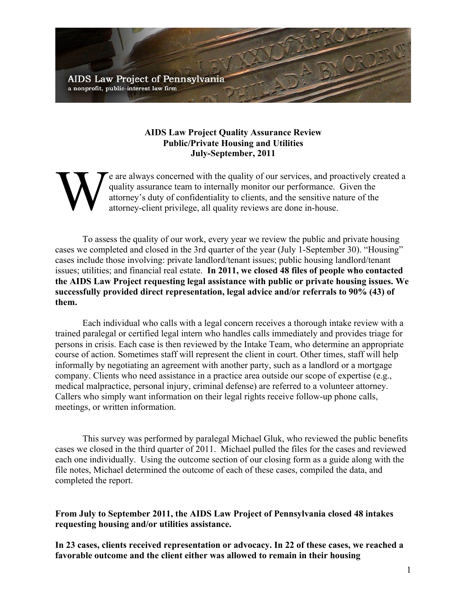

## **AIDS Law Project Quality Assurance Review Public/Private Housing and Utilities July-September, 2011**

e are always concerned with the quality of our services, and proactively created a quality assurance team to internally monitor our performance. Given the attorney's duty of confidentiality to clients, and the sensitive nature of the attorney-client privilege, all quality reviews are done in-house. W

To assess the quality of our work, every year we review the public and private housing cases we completed and closed in the 3rd quarter of the year (July 1-September 30). "Housing" cases include those involving: private landlord/tenant issues; public housing landlord/tenant issues; utilities; and financial real estate. **In 2011, we closed 48 files of people who contacted the AIDS Law Project requesting legal assistance with public or private housing issues. We successfully provided direct representation, legal advice and/or referrals to 90% (43) of them.**

Each individual who calls with a legal concern receives a thorough intake review with a trained paralegal or certified legal intern who handles calls immediately and provides triage for persons in crisis. Each case is then reviewed by the Intake Team, who determine an appropriate course of action. Sometimes staff will represent the client in court. Other times, staff will help informally by negotiating an agreement with another party, such as a landlord or a mortgage company. Clients who need assistance in a practice area outside our scope of expertise (e.g., medical malpractice, personal injury, criminal defense) are referred to a volunteer attorney. Callers who simply want information on their legal rights receive follow-up phone calls, meetings, or written information.

This survey was performed by paralegal Michael Gluk, who reviewed the public benefits cases we closed in the third quarter of 2011. Michael pulled the files for the cases and reviewed each one individually. Using the outcome section of our closing form as a guide along with the file notes, Michael determined the outcome of each of these cases, compiled the data, and completed the report.

**From July to September 2011, the AIDS Law Project of Pennsylvania closed 48 intakes requesting housing and/or utilities assistance.** 

**In 23 cases, clients received representation or advocacy. In 22 of these cases, we reached a favorable outcome and the client either was allowed to remain in their housing**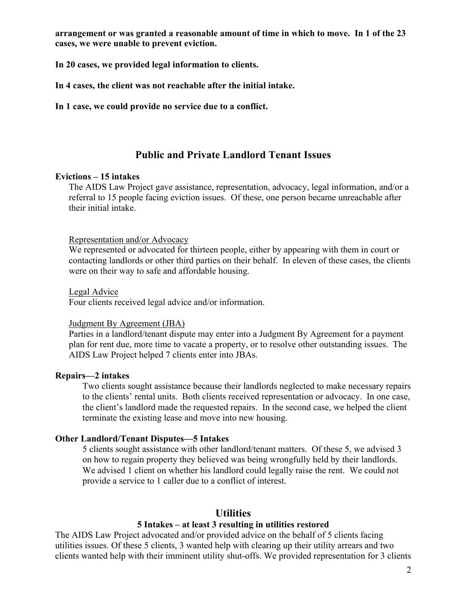**arrangement or was granted a reasonable amount of time in which to move. In 1 of the 23 cases, we were unable to prevent eviction.** 

**In 20 cases, we provided legal information to clients.**

**In 4 cases, the client was not reachable after the initial intake.**

**In 1 case, we could provide no service due to a conflict.** 

# **Public and Private Landlord Tenant Issues**

### **Evictions – 15 intakes**

The AIDS Law Project gave assistance, representation, advocacy, legal information, and/or a referral to 15 people facing eviction issues. Of these, one person became unreachable after their initial intake.

### Representation and/or Advocacy

We represented or advocated for thirteen people, either by appearing with them in court or contacting landlords or other third parties on their behalf. In eleven of these cases, the clients were on their way to safe and affordable housing.

#### Legal Advice

Four clients received legal advice and/or information.

#### Judgment By Agreement (JBA)

Parties in a landlord/tenant dispute may enter into a Judgment By Agreement for a payment plan for rent due, more time to vacate a property, or to resolve other outstanding issues. The AIDS Law Project helped 7 clients enter into JBAs.

### **Repairs—2 intakes**

Two clients sought assistance because their landlords neglected to make necessary repairs to the clients' rental units. Both clients received representation or advocacy. In one case, the client's landlord made the requested repairs. In the second case, we helped the client terminate the existing lease and move into new housing.

### **Other Landlord/Tenant Disputes—5 Intakes**

5 clients sought assistance with other landlord/tenant matters. Of these 5, we advised 3 on how to regain property they believed was being wrongfully held by their landlords. We advised 1 client on whether his landlord could legally raise the rent. We could not provide a service to 1 caller due to a conflict of interest.

# **Utilities**

### **5 Intakes – at least 3 resulting in utilities restored**

The AIDS Law Project advocated and/or provided advice on the behalf of 5 clients facing utilities issues. Of these 5 clients, 3 wanted help with clearing up their utility arrears and two clients wanted help with their imminent utility shut-offs. We provided representation for 3 clients